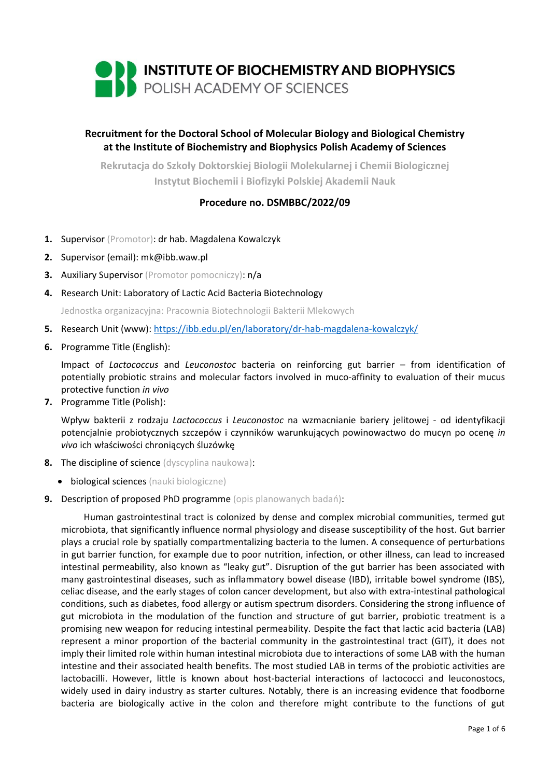

# **Recruitment for the Doctoral School of Molecular Biology and Biological Chemistry at the Institute of Biochemistry and Biophysics Polish Academy of Sciences**

**Rekrutacja do Szkoły Doktorskiej Biologii Molekularnej i Chemii Biologicznej Instytut Biochemii i Biofizyki Polskiej Akademii Nauk**

# **Procedure no. DSMBBC/2022/09**

- **1.** Supervisor (Promotor): dr hab. Magdalena Kowalczyk
- **2.** Supervisor (email): mk@ibb.waw.pl
- **3.** Auxiliary Supervisor (Promotor pomocniczy): n/a
- **4.** Research Unit: Laboratory of Lactic Acid Bacteria Biotechnology

Jednostka organizacyjna: Pracownia Biotechnologii Bakterii Mlekowych

- **5.** Research Unit (www): <https://ibb.edu.pl/en/laboratory/dr-hab-magdalena-kowalczyk/>
- **6.** Programme Title (English):

Impact of *Lactococcus* and *Leuconostoc* bacteria on reinforcing gut barrier – from identification of potentially probiotic strains and molecular factors involved in muco-affinity to evaluation of their mucus protective function *in vivo*

**7.** Programme Title (Polish):

Wpływ bakterii z rodzaju *Lactococcus* i *Leuconostoc* na wzmacnianie bariery jelitowej - od identyfikacji potencjalnie probiotycznych szczepów i czynników warunkujących powinowactwo do mucyn po ocenę *in vivo* ich właściwości chroniących śluzówkę

- **8.** The discipline of science (dyscyplina naukowa):
	- biological sciences (nauki biologiczne)
- **9.** Description of proposed PhD programme (opis planowanych badań):

Human gastrointestinal tract is colonized by dense and complex microbial communities, termed gut microbiota, that significantly influence normal physiology and disease susceptibility of the host. Gut barrier plays a crucial role by spatially compartmentalizing bacteria to the lumen. A consequence of perturbations in gut barrier function, for example due to poor nutrition, infection, or other illness, can lead to increased intestinal permeability, also known as "leaky gut". Disruption of the gut barrier has been associated with many gastrointestinal diseases, such as inflammatory bowel disease (IBD), irritable bowel syndrome (IBS), celiac disease, and the early stages of colon cancer development, but also with extra-intestinal pathological conditions, such as diabetes, food allergy or autism spectrum disorders. Considering the strong influence of gut microbiota in the modulation of the function and structure of gut barrier, probiotic treatment is a promising new weapon for reducing intestinal permeability. Despite the fact that lactic acid bacteria (LAB) represent a minor proportion of the bacterial community in the gastrointestinal tract (GIT), it does not imply their limited role within human intestinal microbiota due to interactions of some LAB with the human intestine and their associated health benefits. The most studied LAB in terms of the probiotic activities are lactobacilli. However, little is known about host-bacterial interactions of lactococci and leuconostocs, widely used in dairy industry as starter cultures. Notably, there is an increasing evidence that foodborne bacteria are biologically active in the colon and therefore might contribute to the functions of gut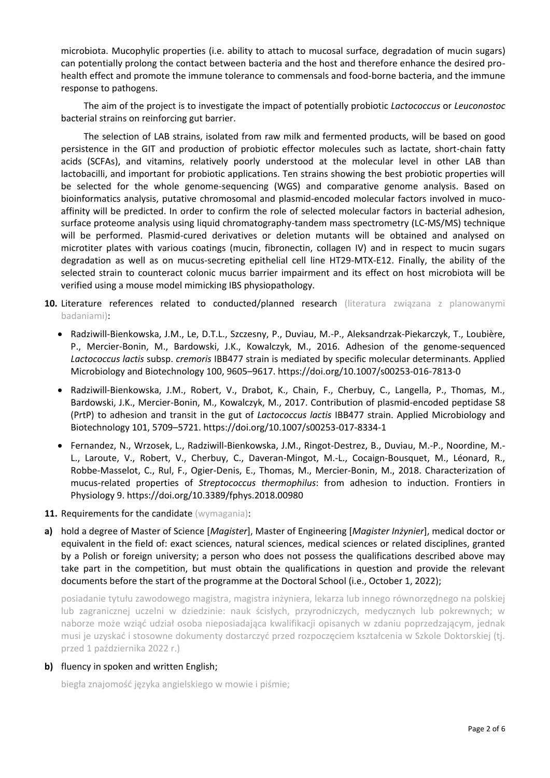microbiota. Mucophylic properties (i.e. ability to attach to mucosal surface, degradation of mucin sugars) can potentially prolong the contact between bacteria and the host and therefore enhance the desired prohealth effect and promote the immune tolerance to commensals and food-borne bacteria, and the immune response to pathogens.

The aim of the project is to investigate the impact of potentially probiotic *Lactococcus* or *Leuconostoc* bacterial strains on reinforcing gut barrier.

The selection of LAB strains, isolated from raw milk and fermented products, will be based on good persistence in the GIT and production of probiotic effector molecules such as lactate, short-chain fatty acids (SCFAs), and vitamins, relatively poorly understood at the molecular level in other LAB than lactobacilli, and important for probiotic applications. Ten strains showing the best probiotic properties will be selected for the whole genome-sequencing (WGS) and comparative genome analysis. Based on bioinformatics analysis, putative chromosomal and plasmid-encoded molecular factors involved in mucoaffinity will be predicted. In order to confirm the role of selected molecular factors in bacterial adhesion, surface proteome analysis using liquid chromatography-tandem mass spectrometry (LC-MS/MS) technique will be performed. Plasmid-cured derivatives or deletion mutants will be obtained and analysed on microtiter plates with various coatings (mucin, fibronectin, collagen IV) and in respect to mucin sugars degradation as well as on mucus-secreting epithelial cell line HT29-MTX-E12. Finally, the ability of the selected strain to counteract colonic mucus barrier impairment and its effect on host microbiota will be verified using a mouse model mimicking IBS physiopathology.

- **10.** Literature references related to conducted/planned research (literatura związana z planowanymi badaniami):
	- Radziwill-Bienkowska, J.M., Le, D.T.L., Szczesny, P., Duviau, M.-P., Aleksandrzak-Piekarczyk, T., Loubière, P., Mercier-Bonin, M., Bardowski, J.K., Kowalczyk, M., 2016. Adhesion of the genome-sequenced *Lactococcus lactis* subsp. *cremoris* IBB477 strain is mediated by specific molecular determinants. Applied Microbiology and Biotechnology 100, 9605–9617. https://doi.org/10.1007/s00253-016-7813-0
	- Radziwill-Bienkowska, J.M., Robert, V., Drabot, K., Chain, F., Cherbuy, C., Langella, P., Thomas, M., Bardowski, J.K., Mercier-Bonin, M., Kowalczyk, M., 2017. Contribution of plasmid-encoded peptidase S8 (PrtP) to adhesion and transit in the gut of *Lactococcus lactis* IBB477 strain. Applied Microbiology and Biotechnology 101, 5709–5721. https://doi.org/10.1007/s00253-017-8334-1
	- Fernandez, N., Wrzosek, L., Radziwill-Bienkowska, J.M., Ringot-Destrez, B., Duviau, M.-P., Noordine, M.- L., Laroute, V., Robert, V., Cherbuy, C., Daveran-Mingot, M.-L., Cocaign-Bousquet, M., Léonard, R., Robbe-Masselot, C., Rul, F., Ogier-Denis, E., Thomas, M., Mercier-Bonin, M., 2018. Characterization of mucus-related properties of *Streptococcus thermophilus*: from adhesion to induction. Frontiers in Physiology 9. https://doi.org/10.3389/fphys.2018.00980
- 11. Requirements for the candidate (wymagania):
- **a)** hold a degree of Master of Science [*Magister*], Master of Engineering [*Magister Inżynier*], medical doctor or equivalent in the field of: exact sciences, natural sciences, medical sciences or related disciplines, granted by a Polish or foreign university; a person who does not possess the qualifications described above may take part in the competition, but must obtain the qualifications in question and provide the relevant documents before the start of the programme at the Doctoral School (i.e., October 1, 2022);

posiadanie tytułu zawodowego magistra, magistra inżyniera, lekarza lub innego równorzędnego na polskiej lub zagranicznej uczelni w dziedzinie: nauk ścisłych, przyrodniczych, medycznych lub pokrewnych; w naborze może wziąć udział osoba nieposiadająca kwalifikacji opisanych w zdaniu poprzedzającym, jednak musi je uzyskać i stosowne dokumenty dostarczyć przed rozpoczęciem kształcenia w Szkole Doktorskiej (tj. przed 1 października 2022 r.)

## **b)** fluency in spoken and written English;

biegła znajomość języka angielskiego w mowie i piśmie;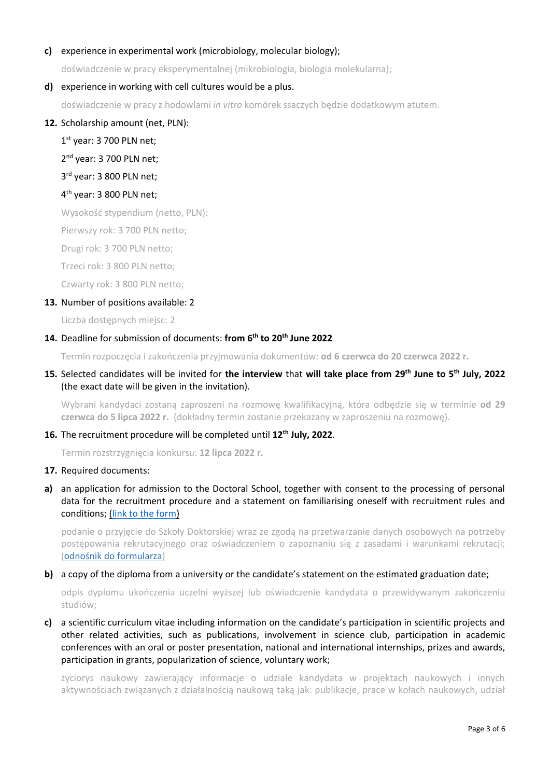## **c)** experience in experimental work (microbiology, molecular biology);

doświadczenie w pracy eksperymentalnej (mikrobiologia, biologia molekularna);

## **d)** experience in working with cell cultures would be a plus.

doświadczenie w pracy z hodowlami *in vitro* komórek ssaczych będzie dodatkowym atutem.

## **12.** Scholarship amount (net, PLN):

1<sup>st</sup> year: 3 700 PLN net;

2<sup>nd</sup> year: 3 700 PLN net;

3 rd year: 3 800 PLN net;

## 4<sup>th</sup> year: 3 800 PLN net;

Wysokość stypendium (netto, PLN):

Pierwszy rok: 3 700 PLN netto;

Drugi rok: 3 700 PLN netto;

Trzeci rok: 3 800 PLN netto;

Czwarty rok: 3 800 PLN netto;

#### **13.** Number of positions available: 2

Liczba dostępnych miejsc: 2

## **14.** Deadline for submission of documents: **from 6 th to 20th June 2022**

Termin rozpoczęcia i zakończenia przyjmowania dokumentów: **od 6 czerwca do 20 czerwca 2022 r.**

# **15.** Selected candidates will be invited for **the interview** that **will take place from 29th June to 5th July, 2022**  (the exact date will be given in the invitation).

Wybrani kandydaci zostaną zaproszeni na rozmowę kwalifikacyjną, która odbędzie się w terminie **od 29 czerwca do 5 lipca 2022 r.** (dokładny termin zostanie przekazany w zaproszeniu na rozmowę).

## **16.** The recruitment procedure will be completed until **12th July, 2022**.

Termin rozstrzygnięcia konkursu: **12 lipca 2022 r.**

#### **17.** Required documents:

**a)** an application for admission to the Doctoral School, together with consent to the processing of personal data for the recruitment procedure and a statement on familiarising oneself with recruitment rules and conditions; [\(link to the form\)](https://ibb.edu.pl/app/uploads/2022/05/application-form_doctoralschool_ibb-pas.docx)

podanie o przyjęcie do Szkoły Doktorskiej wraz ze zgodą na przetwarzanie danych osobowych na potrzeby postępowania rekrutacyjnego oraz oświadczeniem o zapoznaniu się z zasadami i warunkami rekrutacji; ([odnośnik do formularza](https://ibb.edu.pl/app/uploads/2022/05/application-form_doctoralschool_ibb-pas.docx))

#### **b)** a copy of the diploma from a university or the candidate's statement on the estimated graduation date;

odpis dyplomu ukończenia uczelni wyższej lub oświadczenie kandydata o przewidywanym zakończeniu studiów;

**c)** a scientific curriculum vitae including information on the candidate's participation in scientific projects and other related activities, such as publications, involvement in science club, participation in academic conferences with an oral or poster presentation, national and international internships, prizes and awards, participation in grants, popularization of science, voluntary work;

życiorys naukowy zawierający informacje o udziale kandydata w projektach naukowych i innych aktywnościach związanych z działalnością naukową taką jak: publikacje, prace w kołach naukowych, udział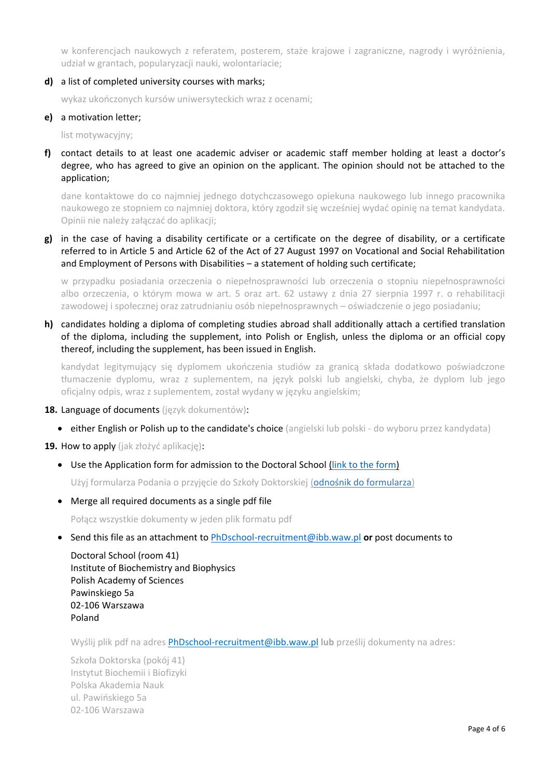w konferencjach naukowych z referatem, posterem, staże krajowe i zagraniczne, nagrody i wyróżnienia, udział w grantach, popularyzacji nauki, wolontariacie;

**d)** a list of completed university courses with marks;

wykaz ukończonych kursów uniwersyteckich wraz z ocenami;

## **e)** a motivation letter;

list motywacyjny;

**f)** contact details to at least one academic adviser or academic staff member holding at least a doctor's degree, who has agreed to give an opinion on the applicant. The opinion should not be attached to the application;

dane kontaktowe do co najmniej jednego dotychczasowego opiekuna naukowego lub innego pracownika naukowego ze stopniem co najmniej doktora, który zgodził się wcześniej wydać opinię na temat kandydata. Opinii nie należy załączać do aplikacji;

**g)** in the case of having a disability certificate or a certificate on the degree of disability, or a certificate referred to in Article 5 and Article 62 of the Act of 27 August 1997 on Vocational and Social Rehabilitation and Employment of Persons with Disabilities – a statement of holding such certificate;

w przypadku posiadania orzeczenia o niepełnosprawności lub orzeczenia o stopniu niepełnosprawności albo orzeczenia, o którym mowa w art. 5 oraz art. 62 ustawy z dnia 27 sierpnia 1997 r. o rehabilitacji zawodowej i społecznej oraz zatrudnianiu osób niepełnosprawnych – oświadczenie o jego posiadaniu;

**h)** candidates holding a diploma of completing studies abroad shall additionally attach a certified translation of the diploma, including the supplement, into Polish or English, unless the diploma or an official copy thereof, including the supplement, has been issued in English.

kandydat legitymujący się dyplomem ukończenia studiów za granicą składa dodatkowo poświadczone tłumaczenie dyplomu, wraz z suplementem, na język polski lub angielski, chyba, że dyplom lub jego oficjalny odpis, wraz z suplementem, został wydany w języku angielskim;

- **18.** Language of documents (język dokumentów):
	- either English or Polish up to the candidate's choice (angielski lub polski do wyboru przez kandydata)

**19.** How to apply (jak złożyć aplikację):

• Use the Application form for admission to the Doctoral School [\(link to the form\)](https://ibb.edu.pl/app/uploads/2022/05/application-form_doctoralschool_ibb-pas.docx)

Użyj formularza Podania o przyjęcie do Szkoły Doktorskiej ([odnośnik do formularza](https://ibb.edu.pl/app/uploads/2022/05/application-form_doctoralschool_ibb-pas.docx))

• Merge all required documents as a single pdf file

Połącz wszystkie dokumenty w jeden plik formatu pdf

• Send this file as an attachment to [PhDschool-recruitment@ibb.waw.pl](mailto:PhDschool-recruitment@ibb.waw.pl) **or** post documents to

Doctoral School (room 41) Institute of Biochemistry and Biophysics Polish Academy of Sciences Pawinskiego 5a 02-106 Warszawa Poland

Wyślij plik pdf na adres [PhDschool-recruitment@ibb.waw.pl](mailto:PhDschool-recruitment@ibb.waw.pl) **lub** prześlij dokumenty na adres:

Szkoła Doktorska (pokój 41) Instytut Biochemii i Biofizyki Polska Akademia Nauk ul. Pawińskiego 5a 02-106 Warszawa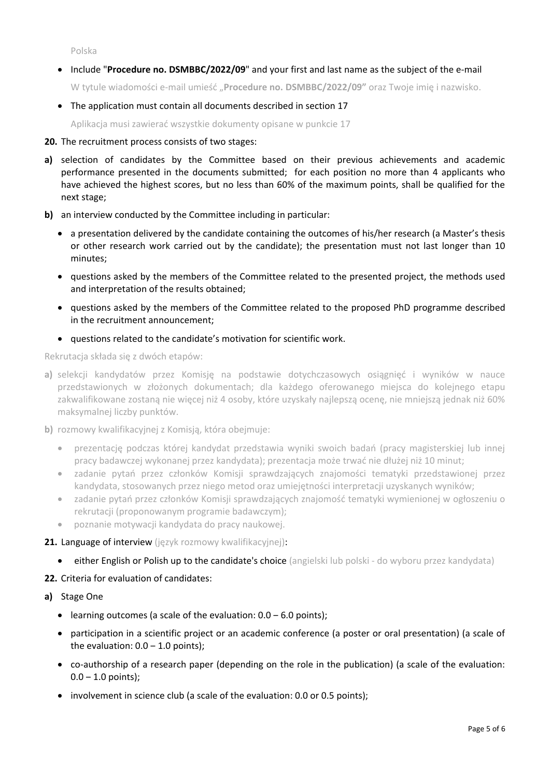Polska

• Include "**Procedure no. DSMBBC/2022/09**" and your first and last name as the subject of the e-mail

W tytule wiadomości e-mail umieść "**Procedure no. DSMBBC/2022/09"** oraz Twoje imię i nazwisko.

• The application must contain all documents described in section 17

Aplikacja musi zawierać wszystkie dokumenty opisane w punkcie 17

## **20.** The recruitment process consists of two stages:

- **a)** selection of candidates by the Committee based on their previous achievements and academic performance presented in the documents submitted; for each position no more than 4 applicants who have achieved the highest scores, but no less than 60% of the maximum points, shall be qualified for the next stage;
- **b)** an interview conducted by the Committee including in particular:
	- a presentation delivered by the candidate containing the outcomes of his/her research (a Master's thesis or other research work carried out by the candidate); the presentation must not last longer than 10 minutes;
	- questions asked by the members of the Committee related to the presented project, the methods used and interpretation of the results obtained;
	- questions asked by the members of the Committee related to the proposed PhD programme described in the recruitment announcement;
	- questions related to the candidate's motivation for scientific work.

Rekrutacja składa się z dwóch etapów:

- **a)** selekcji kandydatów przez Komisję na podstawie dotychczasowych osiągnięć i wyników w nauce przedstawionych w złożonych dokumentach; dla każdego oferowanego miejsca do kolejnego etapu zakwalifikowane zostaną nie więcej niż 4 osoby, które uzyskały najlepszą ocenę, nie mniejszą jednak niż 60% maksymalnej liczby punktów.
- **b)** rozmowy kwalifikacyjnej z Komisją, która obejmuje:
	- prezentację podczas której kandydat przedstawia wyniki swoich badań (pracy magisterskiej lub innej pracy badawczej wykonanej przez kandydata); prezentacja może trwać nie dłużej niż 10 minut;
	- zadanie pytań przez członków Komisji sprawdzających znajomości tematyki przedstawionej przez kandydata, stosowanych przez niego metod oraz umiejętności interpretacji uzyskanych wyników;
	- zadanie pytań przez członków Komisji sprawdzających znajomość tematyki wymienionej w ogłoszeniu o rekrutacji (proponowanym programie badawczym);
	- poznanie motywacji kandydata do pracy naukowej.

## 21. Language of interview (język rozmowy kwalifikacyjnej):

• either English or Polish up to the candidate's choice (angielski lub polski - do wyboru przez kandydata)

**22.** Criteria for evaluation of candidates:

- **a)** Stage One
	- learning outcomes (a scale of the evaluation:  $0.0 6.0$  points);
	- participation in a scientific project or an academic conference (a poster or oral presentation) (a scale of the evaluation:  $0.0 - 1.0$  points);
	- co-authorship of a research paper (depending on the role in the publication) (a scale of the evaluation:  $0.0 - 1.0$  points);
	- involvement in science club (a scale of the evaluation: 0.0 or 0.5 points);